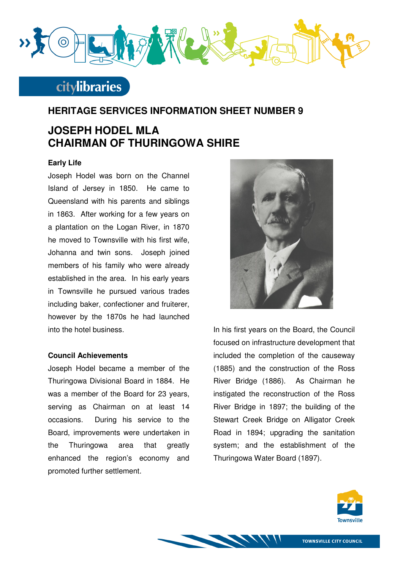

# **citylibraries**

### **HERITAGE SERVICES INFORMATION SHEET NUMBER 9**

## **JOSEPH HODEL MLA CHAIRMAN OF THURINGOWA SHIRE**

#### **Early Life**

Joseph Hodel was born on the Channel Island of Jersey in 1850. He came to Queensland with his parents and siblings in 1863. After working for a few years on a plantation on the Logan River, in 1870 he moved to Townsville with his first wife, Johanna and twin sons. Joseph joined members of his family who were already established in the area. In his early years in Townsville he pursued various trades including baker, confectioner and fruiterer, however by the 1870s he had launched into the hotel business.

#### **Council Achievements**

Joseph Hodel became a member of the Thuringowa Divisional Board in 1884. He was a member of the Board for 23 years, serving as Chairman on at least 14 occasions. During his service to the Board, improvements were undertaken in the Thuringowa area that greatly enhanced the region's economy and promoted further settlement.



In his first years on the Board, the Council focused on infrastructure development that included the completion of the causeway (1885) and the construction of the Ross River Bridge (1886). As Chairman he instigated the reconstruction of the Ross River Bridge in 1897; the building of the Stewart Creek Bridge on Alligator Creek Road in 1894; upgrading the sanitation system; and the establishment of the Thuringowa Water Board (1897).



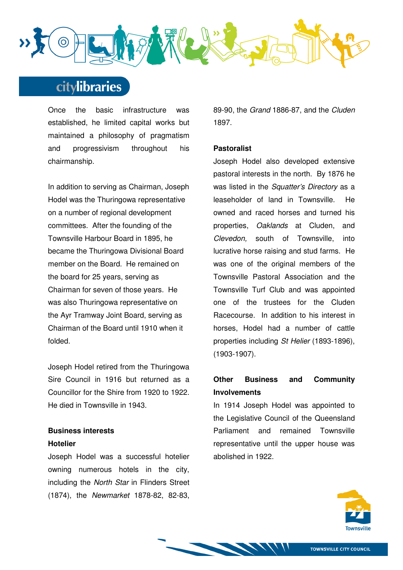

# citylibraries

Once the basic infrastructure was established, he limited capital works but maintained a philosophy of pragmatism and progressivism throughout his chairmanship.

In addition to serving as Chairman, Joseph Hodel was the Thuringowa representative on a number of regional development committees. After the founding of the Townsville Harbour Board in 1895, he became the Thuringowa Divisional Board member on the Board. He remained on the board for 25 years, serving as Chairman for seven of those years. He was also Thuringowa representative on the Ayr Tramway Joint Board, serving as Chairman of the Board until 1910 when it folded.

Joseph Hodel retired from the Thuringowa Sire Council in 1916 but returned as a Councillor for the Shire from 1920 to 1922. He died in Townsville in 1943.

### **Business interests Hotelier**

Joseph Hodel was a successful hotelier owning numerous hotels in the city, including the North Star in Flinders Street (1874), the Newmarket 1878-82, 82-83, 89-90, the Grand 1886-87, and the Cluden 1897.

### **Pastoralist**

Joseph Hodel also developed extensive pastoral interests in the north. By 1876 he was listed in the Squatter's Directory as a leaseholder of land in Townsville. He owned and raced horses and turned his properties, Oaklands at Cluden, and Clevedon, south of Townsville, into lucrative horse raising and stud farms. He was one of the original members of the Townsville Pastoral Association and the Townsville Turf Club and was appointed one of the trustees for the Cluden Racecourse. In addition to his interest in horses, Hodel had a number of cattle properties including St Helier (1893-1896), (1903-1907).

## **Other Business and Community Involvements**

In 1914 Joseph Hodel was appointed to the Legislative Council of the Queensland Parliament and remained Townsville representative until the upper house was abolished in 1922.